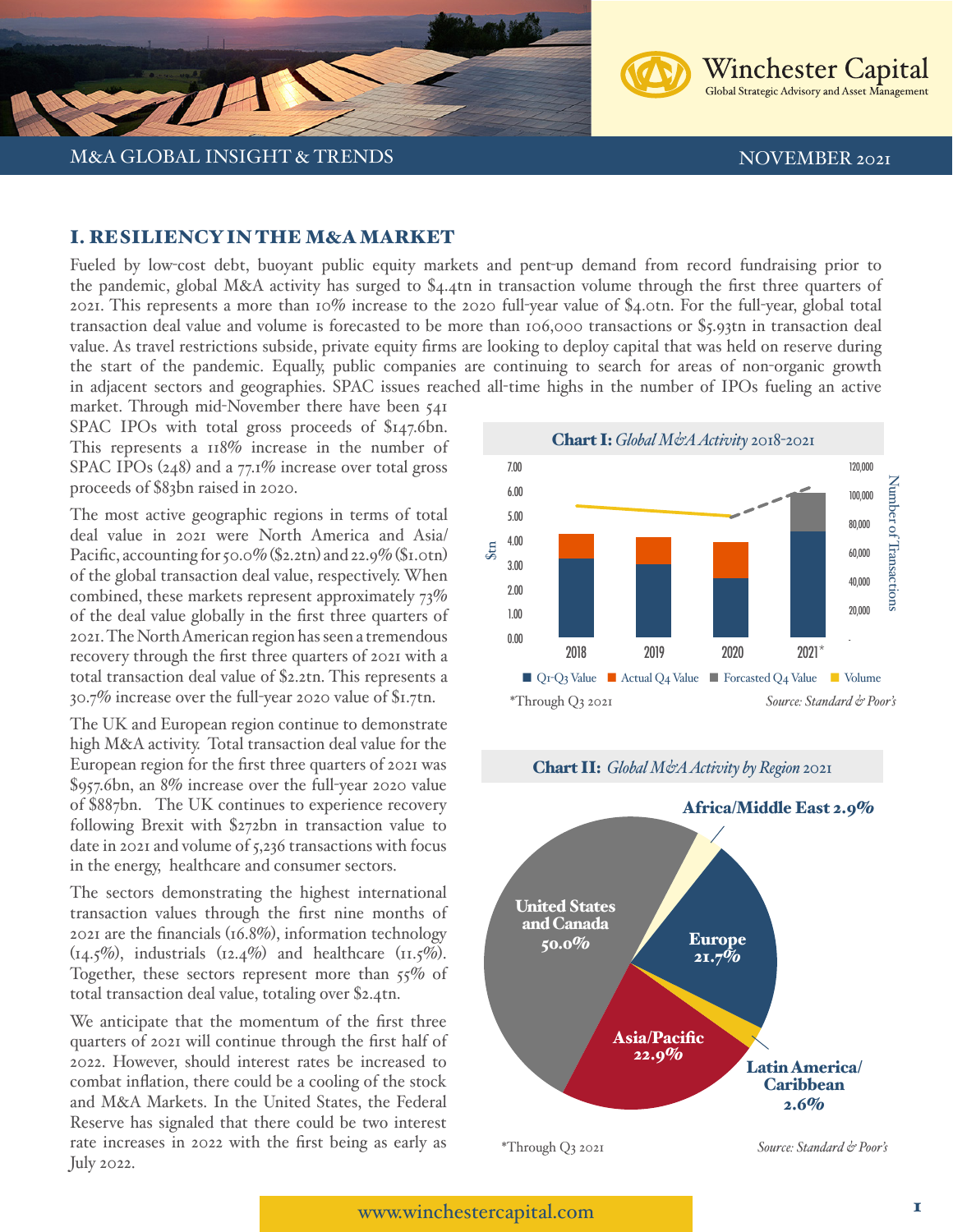



## I. RESILIENCY IN THE M&A MARKET

Fueled by low-cost debt, buoyant public equity markets and pent-up demand from record fundraising prior to the pandemic, global M&A activity has surged to \$4.4tn in transaction volume through the first three quarters of 2021. This represents a more than 10% increase to the 2020 full-year value of \$4.0tn. For the full-year, global total transaction deal value and volume is forecasted to be more than 106,000 transactions or \$5.93tn in transaction deal value. As travel restrictions subside, private equity firms are looking to deploy capital that was held on reserve during the start of the pandemic. Equally, public companies are continuing to search for areas of non-organic growth in adjacent sectors and geographies. SPAC issues reached all-time highs in the number of IPOs fueling an active

market. Through mid-November there have been 541 SPAC IPOs with total gross proceeds of \$147.6bn. This represents a 118% increase in the number of SPAC IPOs (248) and a 77.1% increase over total gross proceeds of \$83bn raised in 2020.

The most active geographic regions in terms of total deal value in 2021 were North America and Asia/ Pacific, accounting for 50.0% (\$2.2tn) and 22.9% (\$1.0tn) of the global transaction deal value, respectively. When combined, these markets represent approximately 73% of the deal value globally in the first three quarters of 2021. The North American region has seen a tremendous recovery through the first three quarters of 2021 with a total transaction deal value of \$2.2tn. This represents a 30.7% increase over the full-year 2020 value of \$1.7tn.

The UK and European region continue to demonstrate high M&A activity. Total transaction deal value for the European region for the first three quarters of 2021 was \$957.6bn, an 8% increase over the full-year 2020 value of \$887bn. The UK continues to experience recovery following Brexit with \$272bn in transaction value to date in 2021 and volume of 5,236 transactions with focus in the energy, healthcare and consumer sectors.

The sectors demonstrating the highest international transaction values through the first nine months of 2021 are the financials (16.8%), information technology  $(14.5\%)$ , industrials  $(12.4\%)$  and healthcare  $(11.5\%)$ . Together, these sectors represent more than 55% of total transaction deal value, totaling over \$2.4tn.

We anticipate that the momentum of the first three quarters of 2021 will continue through the first half of 2022. However, should interest rates be increased to combat inflation, there could be a cooling of the stock and M&A Markets. In the United States, the Federal Reserve has signaled that there could be two interest rate increases in 2022 with the first being as early as July 2022.